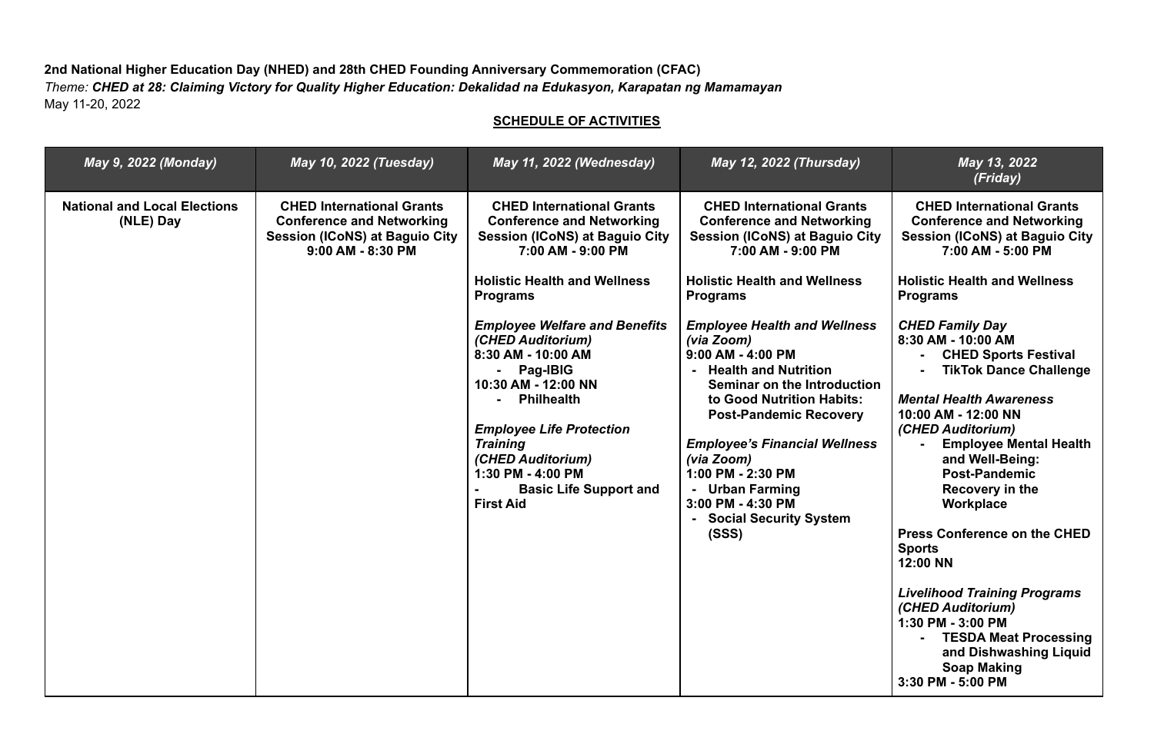## **2nd National Higher Education Day (NHED) and 28th CHED Founding Anniversary Commemoration (CFAC)** *Theme: CHED at 28: Claiming Victory for Quality Higher Education: Dekalidad na Edukasyon, Karapatan ng Mamamayan* May 11-20, 2022

## **SCHEDULE OF ACTIVITIES**

| May 9, 2022 (Monday)                             | May 10, 2022 (Tuesday)                                                                                                             | May 11, 2022 (Wednesday)                                                                                                                                                                                                                                                                                                                                                                                                                                                                  | May 12, 2022 (Thursday)                                                                                                                                                                                                                                                                                                                                                                                                                                                                                                                      | May 13, 2022<br>(Friday)                                                                                                                                                                                                                                                                                                                                                                                                                                                                                                                 |
|--------------------------------------------------|------------------------------------------------------------------------------------------------------------------------------------|-------------------------------------------------------------------------------------------------------------------------------------------------------------------------------------------------------------------------------------------------------------------------------------------------------------------------------------------------------------------------------------------------------------------------------------------------------------------------------------------|----------------------------------------------------------------------------------------------------------------------------------------------------------------------------------------------------------------------------------------------------------------------------------------------------------------------------------------------------------------------------------------------------------------------------------------------------------------------------------------------------------------------------------------------|------------------------------------------------------------------------------------------------------------------------------------------------------------------------------------------------------------------------------------------------------------------------------------------------------------------------------------------------------------------------------------------------------------------------------------------------------------------------------------------------------------------------------------------|
| <b>National and Local Elections</b><br>(NLE) Day | <b>CHED International Grants</b><br><b>Conference and Networking</b><br><b>Session (ICoNS) at Baguio City</b><br>9:00 AM - 8:30 PM | <b>CHED International Grants</b><br><b>Conference and Networking</b><br><b>Session (ICoNS) at Baguio City</b><br>7:00 AM - 9:00 PM<br><b>Holistic Health and Wellness</b><br><b>Programs</b><br><b>Employee Welfare and Benefits</b><br>(CHED Auditorium)<br>8:30 AM - 10:00 AM<br>- Pag-IBIG<br>10:30 AM - 12:00 NN<br>- Philhealth<br><b>Employee Life Protection</b><br><b>Training</b><br>(CHED Auditorium)<br>1:30 PM - 4:00 PM<br><b>Basic Life Support and</b><br><b>First Aid</b> | <b>CHED International Grants</b><br><b>Conference and Networking</b><br><b>Session (ICoNS) at Baguio City</b><br>7:00 AM - 9:00 PM<br><b>Holistic Health and Wellness</b><br><b>Programs</b><br><b>Employee Health and Wellness</b><br>(via Zoom)<br>9:00 AM - 4:00 PM<br>- Health and Nutrition<br>Seminar on the Introduction<br>to Good Nutrition Habits:<br><b>Post-Pandemic Recovery</b><br><b>Employee's Financial Wellness</b><br>(via Zoom)<br>1:00 PM - 2:30 PM<br>- Urban Farming<br>3:00 PM - 4:30 PM<br>- Social Security System | <b>CHED International Grants</b><br><b>Conference and Networking</b><br><b>Session (ICoNS) at Baguio City</b><br>7:00 AM - 5:00 PM<br><b>Holistic Health and Wellness</b><br><b>Programs</b><br><b>CHED Family Day</b><br>8:30 AM - 10:00 AM<br>- CHED Sports Festival<br><b>TikTok Dance Challenge</b><br><b>Mental Health Awareness</b><br>10:00 AM - 12:00 NN<br>(CHED Auditorium)<br><b>Employee Mental Health</b><br>and Well-Being:<br><b>Post-Pandemic</b><br>Recovery in the<br>Workplace<br><b>Press Conference on the CHED</b> |
|                                                  |                                                                                                                                    |                                                                                                                                                                                                                                                                                                                                                                                                                                                                                           | (SSS)                                                                                                                                                                                                                                                                                                                                                                                                                                                                                                                                        | <b>Sports</b><br>12:00 NN                                                                                                                                                                                                                                                                                                                                                                                                                                                                                                                |
|                                                  |                                                                                                                                    |                                                                                                                                                                                                                                                                                                                                                                                                                                                                                           |                                                                                                                                                                                                                                                                                                                                                                                                                                                                                                                                              | <b>Livelihood Training Programs</b><br>(CHED Auditorium)<br>1:30 PM - 3:00 PM<br><b>TESDA Meat Processing</b><br>and Dishwashing Liquid<br><b>Soap Making</b><br>3:30 PM - 5:00 PM                                                                                                                                                                                                                                                                                                                                                       |